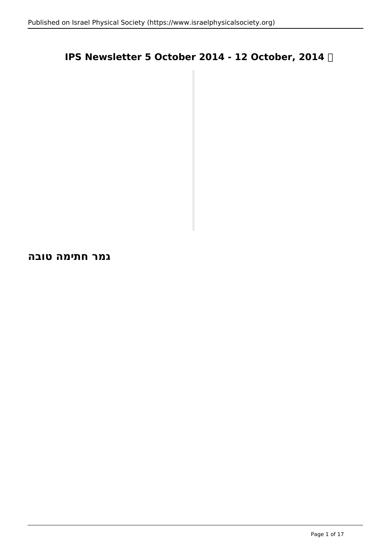## **IPS Newsletter 5 October 2014 - 12 October, 2014**

**גמר חתימה טובה**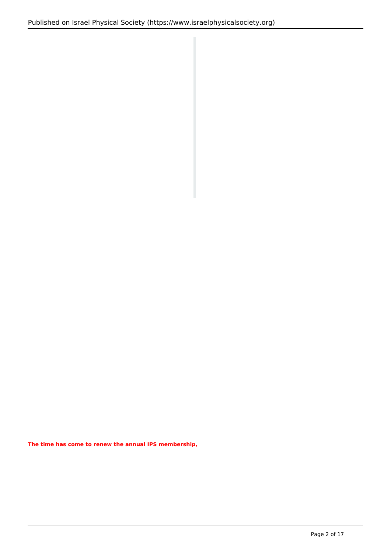**The time has come to renew the annual IPS membership,**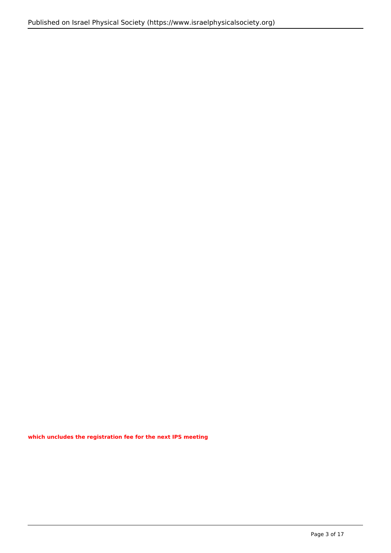**which uncludes the registration fee for the next IPS meeting**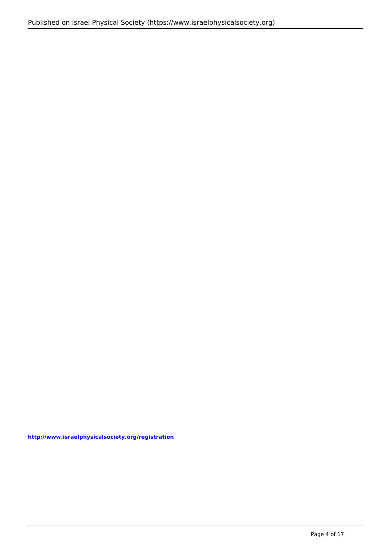**http://www.israelphysicalsociety.org/registration**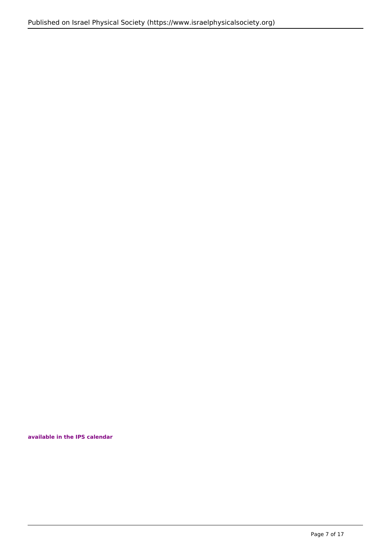## **available in the IPS calendar**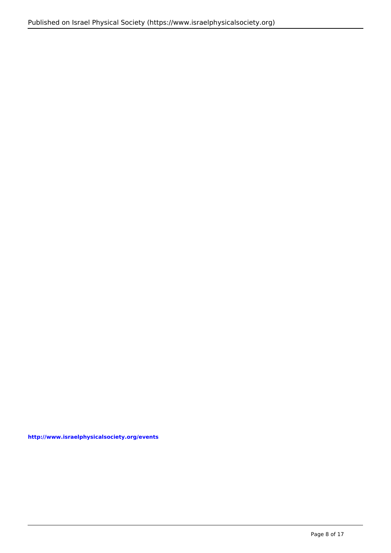**http://www.israelphysicalsociety.org/events**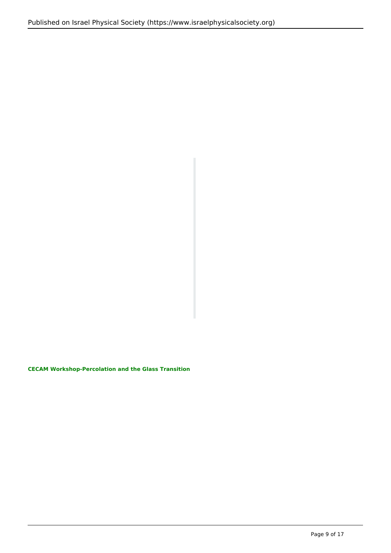**CECAM Workshop-Percolation and the Glass Transition**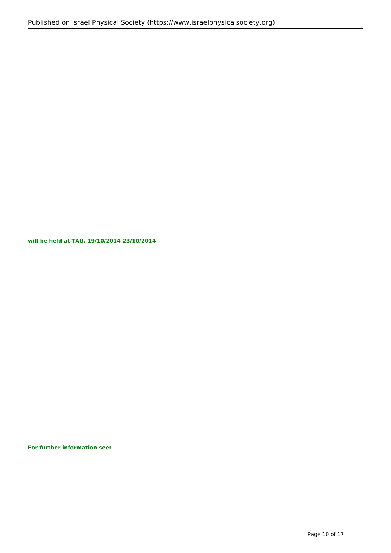**will be held at TAU, 19/10/2014-23/10/2014**

**For further information see:**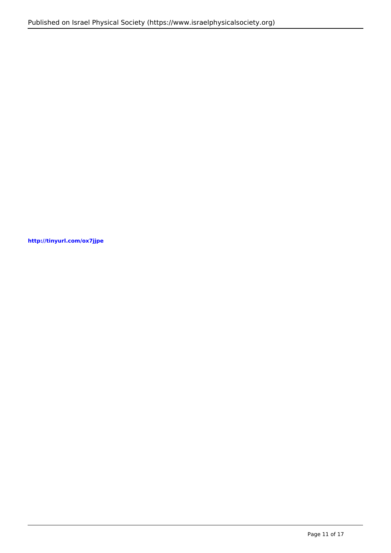**http://tinyurl.com/ox7jjpe**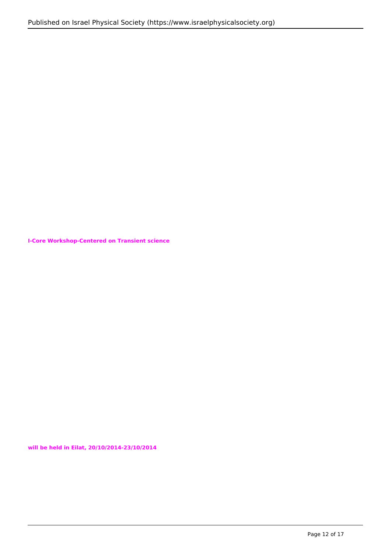**I-Core Workshop-Centered on Transient science**

**will be held in Eilat, 20/10/2014-23/10/2014**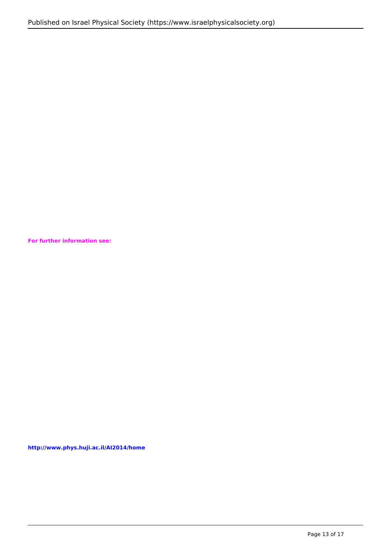**For further information see:**

**http://www.phys.huji.ac.il/AI2014/home**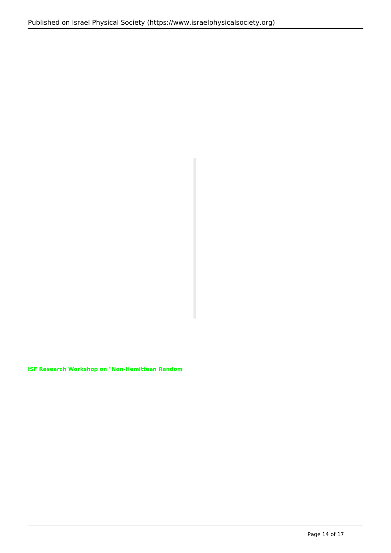**ISF Research Workshop on "Non-Hemittean Random**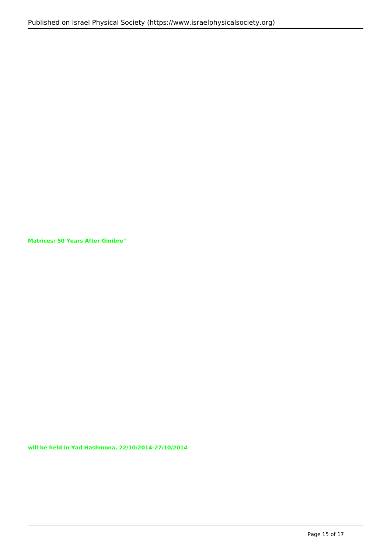**Matrices: 50 Years After Ginibre"**

**will be held in Yad Hashmona, 22/10/2014-27/10/2014**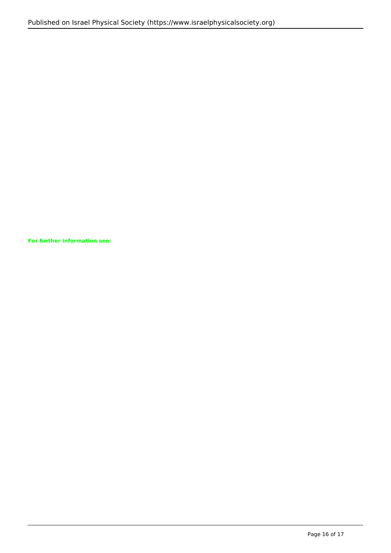**For further information see:**